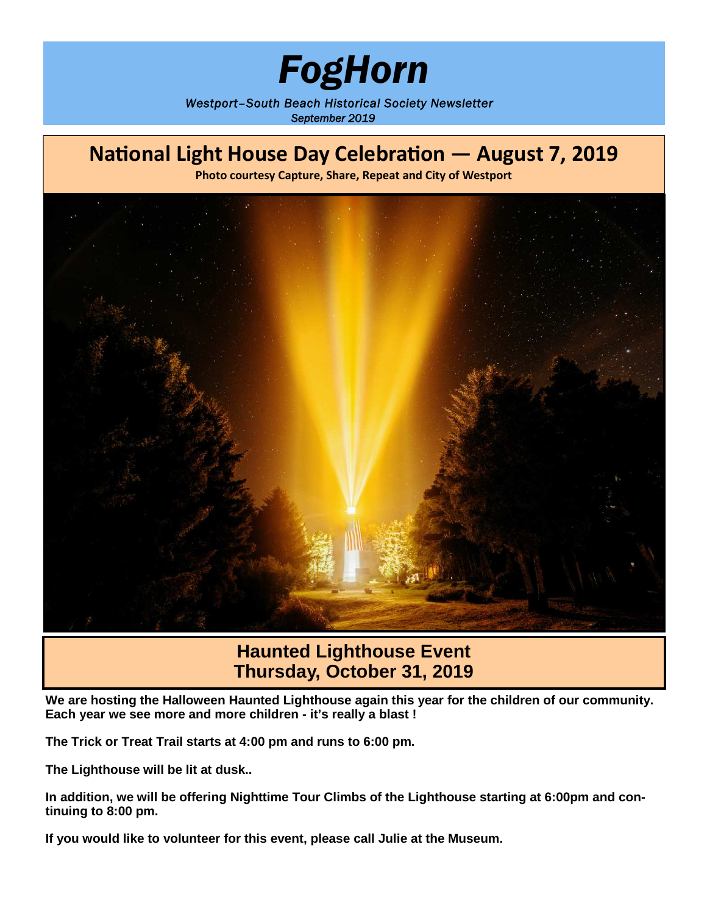# *FogHorn*

*Westport–South Beach Historical Society Newsletter September 2019*



## **Haunted Lighthouse Event Thursday, October 31, 2019**

**We are hosting the Halloween Haunted Lighthouse again this year for the children of our community. Each year we see more and more children - it's really a blast !**

**The Trick or Treat Trail starts at 4:00 pm and runs to 6:00 pm.**

**The Lighthouse will be lit at dusk..**

**In addition, we will be offering Nighttime Tour Climbs of the Lighthouse starting at 6:00pm and continuing to 8:00 pm.**

**If you would like to volunteer for this event, please call Julie at the Museum.**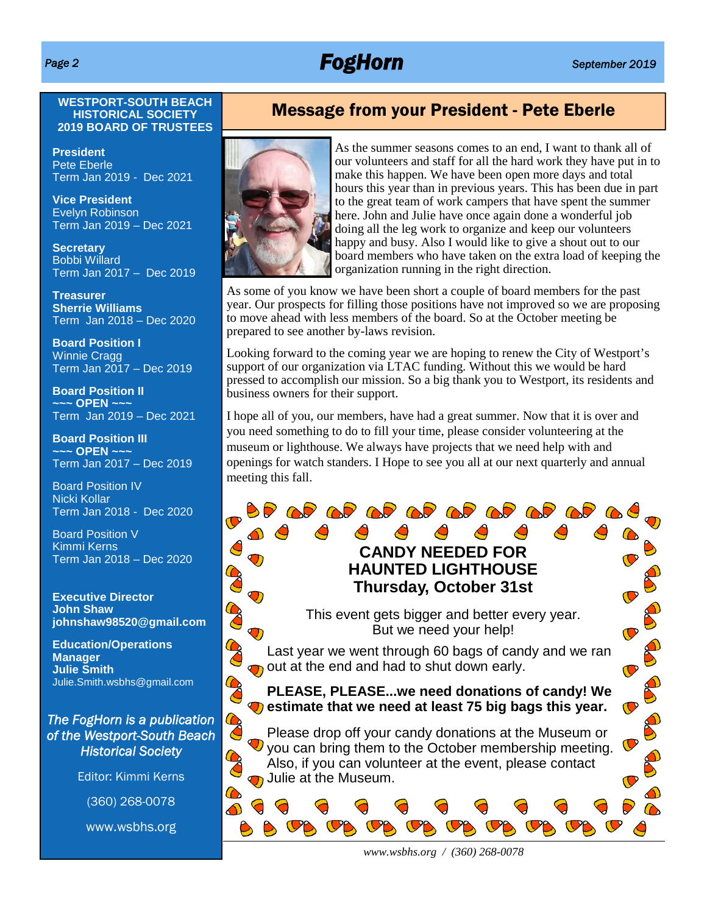## *Page 2 FogHorn September 2019*

### **WESTPORT-SOUTH BEACH HISTORICAL SOCIETY 2019 BOARD OF TRUSTEES**

**President** Pete Eberle Term Jan 2019 - Dec 2021

**Vice President** Evelyn Robinson Term Jan 2019 – Dec 2021

**Secretary** Bobbi Willard Term Jan 2017 – Dec 2019

**Treasurer Sherrie Williams** Term Jan 2018 – Dec 2020

**Board Position I** Winnie Cragg Term Jan 2017 – Dec 2019

**Board Position II ~~~ OPEN ~~~** Term Jan 2019 – Dec 2021

**Board Position III ~~~ OPEN ~~~** Term Jan 2017 – Dec 2019

Board Position IV Nicki Kollar Term Jan 2018 - Dec 2020

Board Position V Kimmi Kerns Term Jan 2018 – Dec 2020

**Executive Director John Shaw johnshaw98520@gmail.com** B

Co

Co

CO

CO

 $\bullet$ 

**Education/Operations Manager Julie Smith** Julie.Smith.wsbhs@gmail.com

### *The FogHorn is a publication of the Westport-South Beach Historical Society*

Editor: Kimmi Kerns

(360) 268-0078

www.wsbhs.org

### Message from your President - Pete Eberle



As the summer seasons comes to an end, I want to thank all of our volunteers and staff for all the hard work they have put in to make this happen. We have been open more days and total hours this year than in previous years. This has been due in part to the great team of work campers that have spent the summer here. John and Julie have once again done a wonderful job doing all the leg work to organize and keep our volunteers happy and busy. Also I would like to give a shout out to our board members who have taken on the extra load of keeping the organization running in the right direction.

As some of you know we have been short a couple of board members for the past year. Our prospects for filling those positions have not improved so we are proposing to move ahead with less members of the board. So at the October meeting be prepared to see another by-laws revision.

Looking forward to the coming year we are hoping to renew the City of Westport's support of our organization via LTAC funding. Without this we would be hard pressed to accomplish our mission. So a big thank you to Westport, its residents and business owners for their support.

I hope all of you, our members, have had a great summer. Now that it is over and you need something to do to fill your time, please consider volunteering at the museum or lighthouse. We always have projects that we need help with and openings for watch standers. I Hope to see you all at our next quarterly and annual meeting this fall.

### $\triangle$  $\triangle$ **CANDY NEEDED FOR HAUNTED LIGHTHOUSE Thursday, October 31st**

**OP OP OP OP OP OP OP OP** 

This event gets bigger and better every year. But we need your help!

Last year we went through 60 bags of candy and we ran out at the end and had to shut down early.

**PLEASE, PLEASE...we need donations of candy! We**  $\bigcirc$  estimate that we need at least 75 big bags this year.

Please drop off your candy donations at the Museum or  $\mathbf \nabla$  vou can bring them to the October membership meeting. Also, if you can volunteer at the event, please contact Julie at the Museum.

*www.wsbhs.org / (360) 268-0078*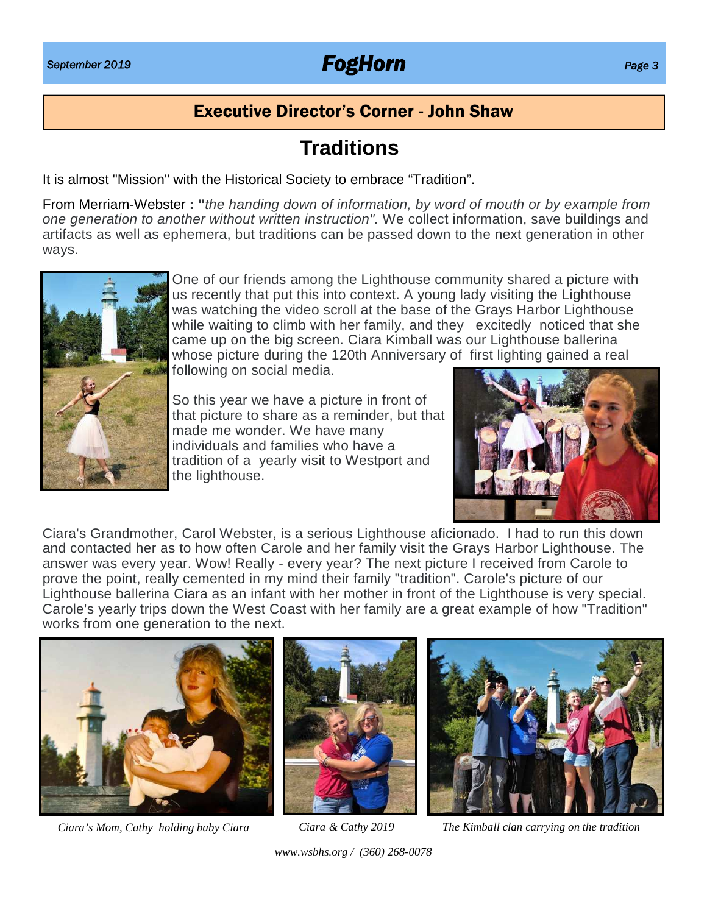## *September 2019 FogHorn Page 3*

## Executive Director's Corner - John Shaw

## **Traditions**

It is almost "Mission" with the Historical Society to embrace "Tradition".

From Merriam-Webster **: "***the handing down of information, by word of mouth or by example from one generation to another without written instruction".* We collect information, save buildings and artifacts as well as ephemera, but traditions can be passed down to the next generation in other ways.



One of our friends among the Lighthouse community shared a picture with us recently that put this into context. A young lady visiting the Lighthouse was watching the video scroll at the base of the Grays Harbor Lighthouse while waiting to climb with her family, and they excitedly noticed that she came up on the big screen. Ciara Kimball was our Lighthouse ballerina whose picture during the 120th Anniversary of first lighting gained a real following on social media.

So this year we have a picture in front of that picture to share as a reminder, but that made me wonder. We have many individuals and families who have a tradition of a yearly visit to Westport and the lighthouse.



Ciara's Grandmother, Carol Webster, is a serious Lighthouse aficionado. I had to run this down and contacted her as to how often Carole and her family visit the Grays Harbor Lighthouse. The answer was every year. Wow! Really - every year? The next picture I received from Carole to prove the point, really cemented in my mind their family "tradition". Carole's picture of our Lighthouse ballerina Ciara as an infant with her mother in front of the Lighthouse is very special. Carole's yearly trips down the West Coast with her family are a great example of how "Tradition" works from one generation to the next.



*Ciara's Mom, Cathy holding baby Ciara*





*Ciara & Cathy 2019 The Kimball clan carrying on the tradition*

*www.wsbhs.org / (360) 268-0078*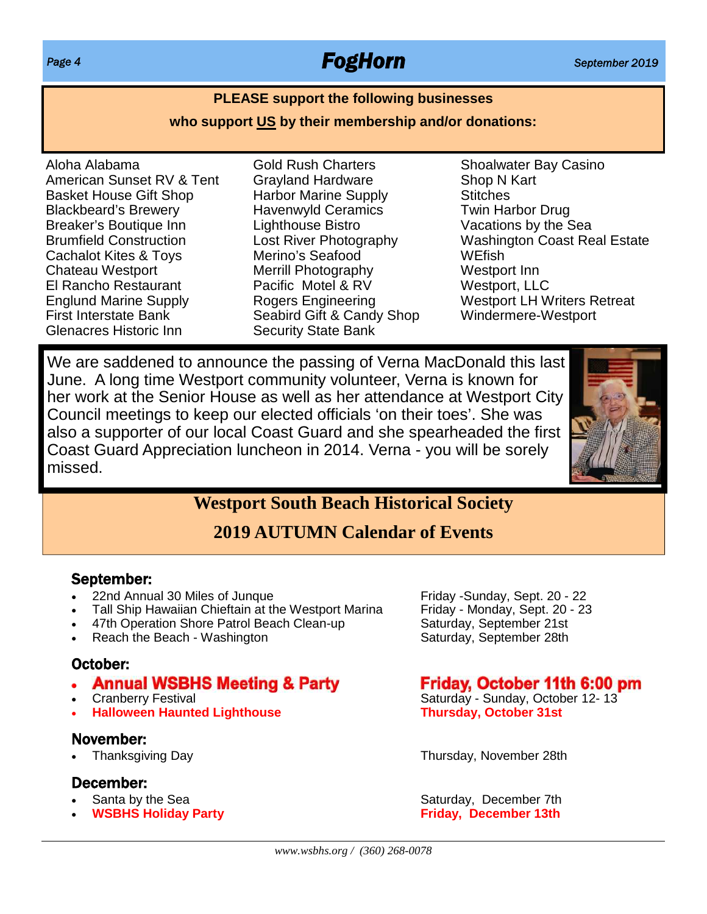## *Page 4 FogHorn September 2019*

### **PLEASE support the following businesses**

### **who support US by their membership and/or donations:**

- Aloha Alabama American Sunset RV & Tent Basket House Gift Shop Blackbeard's Brewery Breaker's Boutique Inn Brumfield Construction Cachalot Kites & Toys Chateau Westport El Rancho Restaurant Englund Marine Supply First Interstate Bank Glenacres Historic Inn
- Gold Rush Charters Grayland Hardware Harbor Marine Supply Havenwyld Ceramics Lighthouse Bistro Lost River Photography Merino's Seafood Merrill Photography Pacific Motel & RV Rogers Engineering Seabird Gift & Candy Shop Security State Bank
- Shoalwater Bay Casino Shop N Kart **Stitches** Twin Harbor Drug Vacations by the Sea Washington Coast Real Estate **WEfish** Westport Inn Westport, LLC Westport LH Writers Retreat Windermere-Westport

We are saddened to announce the passing of Verna MacDonald this last June. A long time Westport community volunteer, Verna is known for her work at the Senior House as well as her attendance at Westport City Council meetings to keep our elected officials 'on their toes'. She was also a supporter of our local Coast Guard and she spearheaded the first Coast Guard Appreciation luncheon in 2014. Verna - you will be sorely missed.



## **Westport South Beach Historical Society**

## **2019 AUTUMN Calendar of Events**

### September:

- 
- Tall Ship Hawaiian Chieftain at the Westport Marina Friday Monday, Sept. 20 47th Operation Shore Patrol Beach Clean-up Saturday, September 21st
- 47th Operation Shore Patrol Beach Clean-up
- Reach the Beach Washington Saturday, September 28th

### October:

- **Annual WSBHS Meeting & Party**
- 
- **Halloween Haunted Lighthouse**

### November:

### December:

- 
- 

122nd Annual 30 Miles of Junque<br>
122 - Tall Ship Hawaiian Chieftain at the Westport Marina Friday - Monday, Sept. 20 - 23

### Friday, October 11th 6:00 pm

Cranberry Festival Cranberry Festival Saturday - Sunday, October 12-13<br>
Halloween Haunted Lighthouse Thursday, October 31st

Thanksgiving Day Thursday, November 28th

Santa by the Sea Saturday, December 7th **WSBHS Holiday Party FIGURE 13th Friday, December 13th**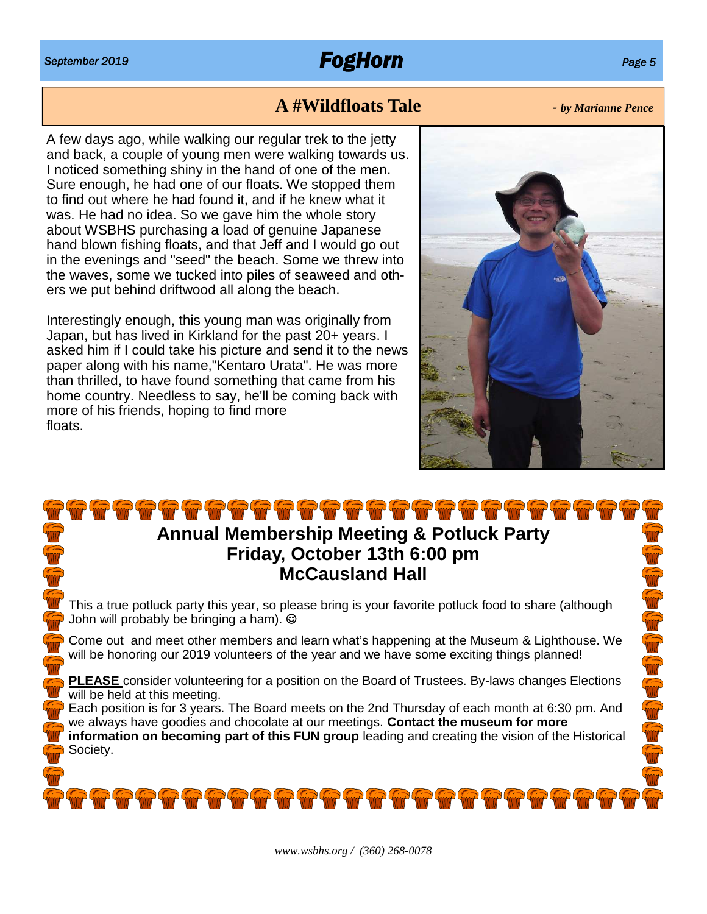## **A #Wildfloats Tale** *- by Marianne Pence*

A few days ago, while walking our regular trek to the jetty and back, a couple of young men were walking towards us. I noticed something shiny in the hand of one of the men. Sure enough, he had one of our floats. We stopped them to find out where he had found it, and if he knew what it was. He had no idea. So we gave him the whole story about WSBHS purchasing a load of genuine Japanese hand blown fishing floats, and that Jeff and I would go out in the evenings and "seed" the beach. Some we threw into the waves, some we tucked into piles of seaweed and others we put behind driftwood all along the beach.

Interestingly enough, this young man was originally from Japan, but has lived in Kirkland for the past 20+ years. I asked him if I could take his picture and send it to the news paper along with his name,"Kentaro Urata". He was more than thrilled, to have found something that came from his home country. Needless to say, he'll be coming back with more of his friends, hoping to find more floats.



## **Annual Membership Meeting & Potluck Party Friday, October 13th 6:00 pm McCausland Hall**

This a true potluck party this year, so please bring is your favorite potluck food to share (although John will probably be bringing a ham).

Come out and meet other members and learn what's happening at the Museum & Lighthouse. We will be honoring our 2019 volunteers of the year and we have some exciting things planned!

**PLEASE** consider volunteering for a position on the Board of Trustees. By-laws changes Elections will be held at this meeting.

Each position is for 3 years. The Board meets on the 2nd Thursday of each month at 6:30 pm. And we always have goodies and chocolate at our meetings. **Contact the museum for more information on becoming part of this FUN group** leading and creating the vision of the Historical Society.

10000000000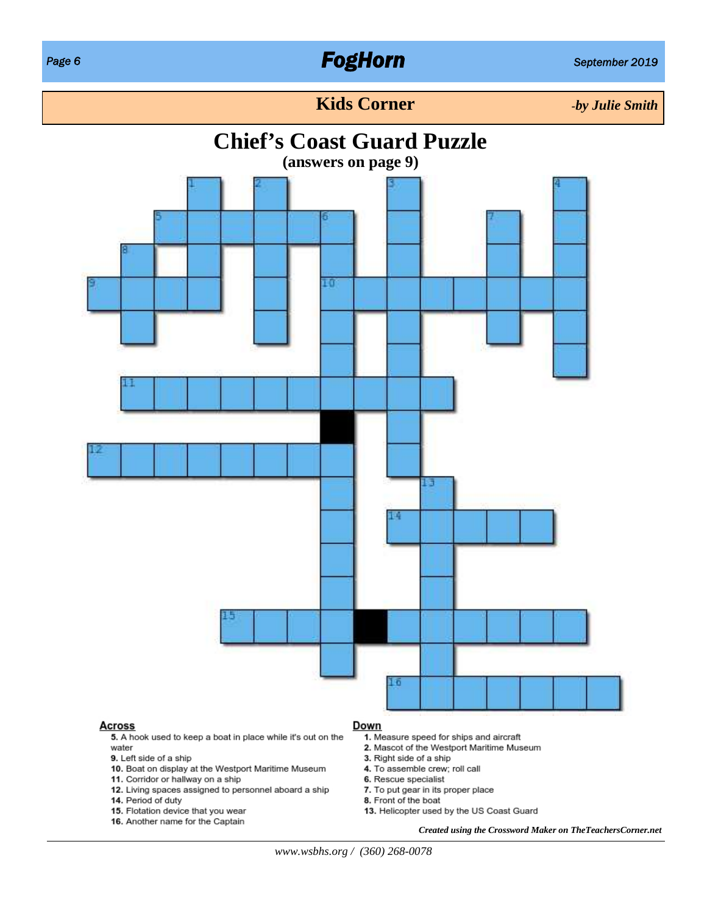## *Page 6 FogHorn September 2019*

### **Kids Corner** *-by Julie Smith*

## **Chief's Coast Guard Puzzle**



- 11. Corridor or hallway on a ship
- 12. Living spaces assigned to personnel aboard a ship
- 14. Period of duty
- 15. Flotation device that you wear
- 16. Another name for the Captain
- 6. Rescue specialist
- 7. To put gear in its proper place
- 8. Front of the boat
- 13. Helicopter used by the US Coast Guard
	- *Created using the Crossword Maker on TheTeachersCorner.net*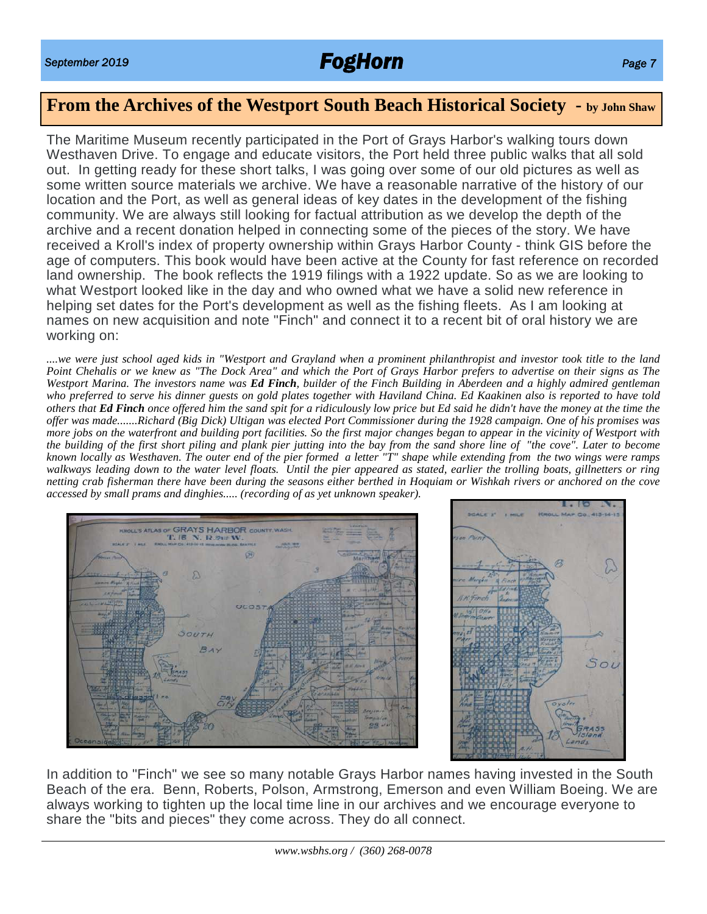## *September 2019 FogHorn Page 7*

## **From the Archives of the Westport South Beach Historical Society - by John Shaw**

The Maritime Museum recently participated in the Port of Grays Harbor's walking tours down Westhaven Drive. To engage and educate visitors, the Port held three public walks that all sold out. In getting ready for these short talks, I was going over some of our old pictures as well as some written source materials we archive. We have a reasonable narrative of the history of our location and the Port, as well as general ideas of key dates in the development of the fishing community. We are always still looking for factual attribution as we develop the depth of the archive and a recent donation helped in connecting some of the pieces of the story. We have received a Kroll's index of property ownership within Grays Harbor County - think GIS before the age of computers. This book would have been active at the County for fast reference on recorded land ownership. The book reflects the 1919 filings with a 1922 update. So as we are looking to what Westport looked like in the day and who owned what we have a solid new reference in helping set dates for the Port's development as well as the fishing fleets. As I am looking at names on new acquisition and note "Finch" and connect it to a recent bit of oral history we are working on:

*....we were just school aged kids in "Westport and Grayland when a prominent philanthropist and investor took title to the land Point Chehalis or we knew as "The Dock Area" and which the Port of Grays Harbor prefers to advertise on their signs as The Westport Marina. The investors name was Ed Finch, builder of the Finch Building in Aberdeen and a highly admired gentleman who preferred to serve his dinner guests on gold plates together with Haviland China. Ed Kaakinen also is reported to have told others that Ed Finch once offered him the sand spit for a ridiculously low price but Ed said he didn't have the money at the time the offer was made.......Richard (Big Dick) Ultigan was elected Port Commissioner during the 1928 campaign. One of his promises was more jobs on the waterfront and building port facilities. So the first major changes began to appear in the vicinity of Westport with the building of the first short piling and plank pier jutting into the bay from the sand shore line of "the cove". Later to become known locally as Westhaven. The outer end of the pier formed a letter "T" shape while extending from the two wings were ramps walkways leading down to the water level floats. Until the pier appeared as stated, earlier the trolling boats, gillnetters or ring netting crab fisherman there have been during the seasons either berthed in Hoquiam or Wishkah rivers or anchored on the cove accessed by small prams and dinghies..... (recording of as yet unknown speaker).*





In addition to "Finch" we see so many notable Grays Harbor names having invested in the South Beach of the era. Benn, Roberts, Polson, Armstrong, Emerson and even William Boeing. We are always working to tighten up the local time line in our archives and we encourage everyone to share the "bits and pieces" they come across. They do all connect.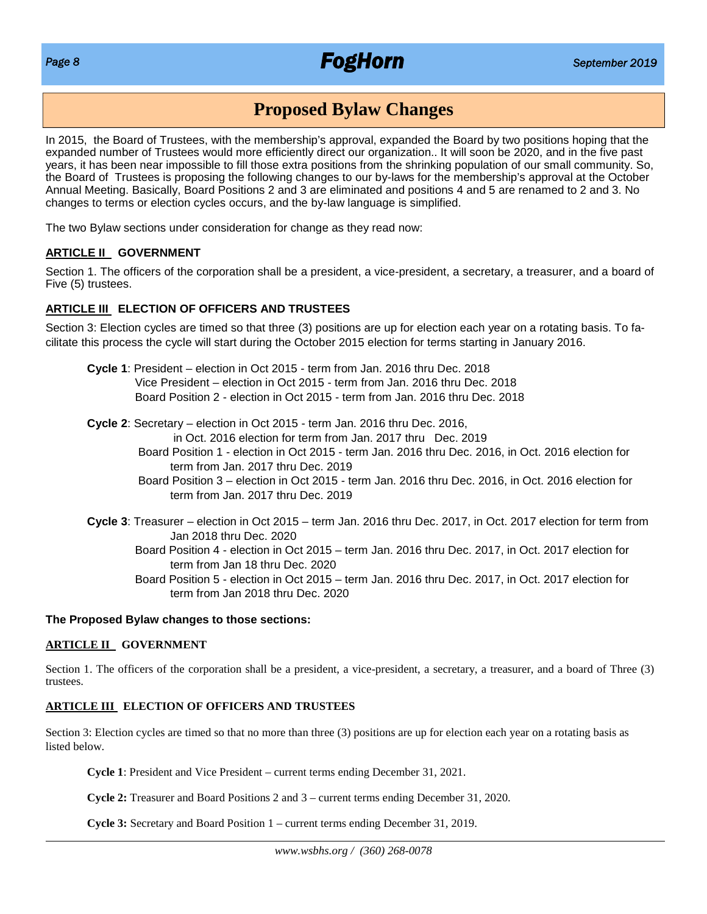## *Page 8 FogHorn September 2019*

## **Proposed Bylaw Changes**

In 2015, the Board of Trustees, with the membership's approval, expanded the Board by two positions hoping that the expanded number of Trustees would more efficiently direct our organization.. It will soon be 2020, and in the five past years, it has been near impossible to fill those extra positions from the shrinking population of our small community. So, the Board of Trustees is proposing the following changes to our by-laws for the membership's approval at the October Annual Meeting. Basically, Board Positions 2 and 3 are eliminated and positions 4 and 5 are renamed to 2 and 3. No changes to terms or election cycles occurs, and the by-law language is simplified.

The two Bylaw sections under consideration for change as they read now:

### **ARTICLE II GOVERNMENT**

Section 1. The officers of the corporation shall be a president, a vice-president, a secretary, a treasurer, and a board of Five (5) trustees.

### **ARTICLE III ELECTION OF OFFICERS AND TRUSTEES**

Section 3: Election cycles are timed so that three (3) positions are up for election each year on a rotating basis. To facilitate this process the cycle will start during the October 2015 election for terms starting in January 2016.

- **Cycle 1**: President election in Oct 2015 term from Jan. 2016 thru Dec. 2018 Vice President – election in Oct 2015 - term from Jan. 2016 thru Dec. 2018 Board Position 2 - election in Oct 2015 - term from Jan. 2016 thru Dec. 2018
- **Cycle 2**: Secretary election in Oct 2015 term Jan. 2016 thru Dec. 2016,

in Oct. 2016 election for term from Jan. 2017 thru Dec. 2019

- Board Position 1 election in Oct 2015 term Jan. 2016 thru Dec. 2016, in Oct. 2016 election for term from Jan. 2017 thru Dec. 2019
- Board Position 3 election in Oct 2015 term Jan. 2016 thru Dec. 2016, in Oct. 2016 election for term from Jan. 2017 thru Dec. 2019
- **Cycle 3**: Treasurer election in Oct 2015 term Jan. 2016 thru Dec. 2017, in Oct. 2017 election for term from Jan 2018 thru Dec. 2020
	- Board Position 4 election in Oct 2015 term Jan. 2016 thru Dec. 2017, in Oct. 2017 election for term from Jan 18 thru Dec. 2020
	- Board Position 5 election in Oct 2015 term Jan. 2016 thru Dec. 2017, in Oct. 2017 election for term from Jan 2018 thru Dec. 2020

### **The Proposed Bylaw changes to those sections:**

### **ARTICLE II GOVERNMENT**

Section 1. The officers of the corporation shall be a president, a vice-president, a secretary, a treasurer, and a board of Three (3) trustees.

### **ARTICLE III ELECTION OF OFFICERS AND TRUSTEES**

Section 3: Election cycles are timed so that no more than three (3) positions are up for election each year on a rotating basis as listed below.

**Cycle 1**: President and Vice President – current terms ending December 31, 2021.

**Cycle 2:** Treasurer and Board Positions 2 and 3 – current terms ending December 31, 2020.

**Cycle 3:** Secretary and Board Position 1 – current terms ending December 31, 2019.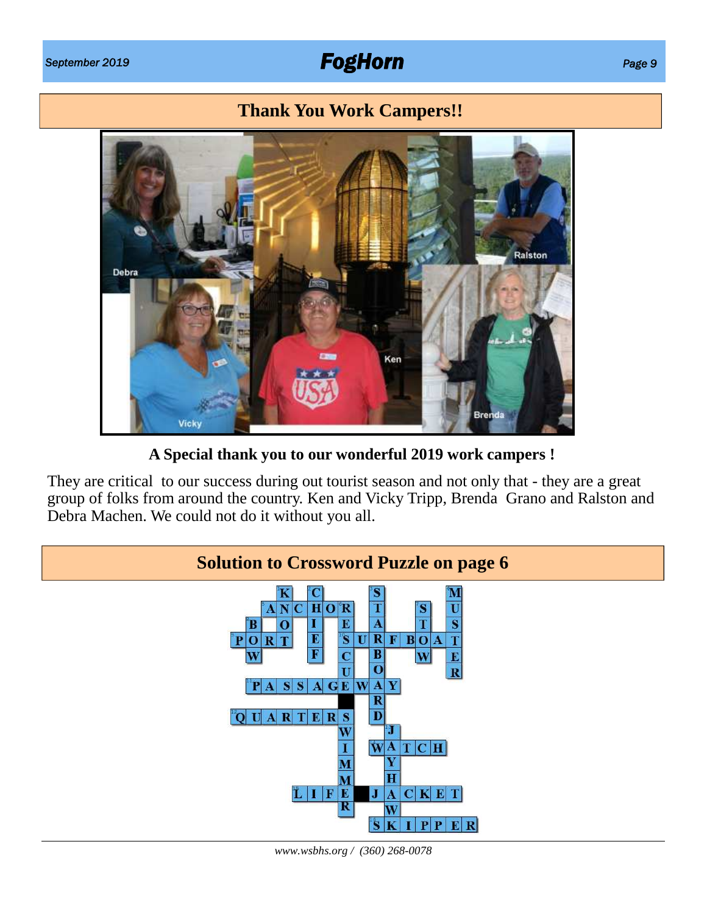## *September 2019 FogHorn Page 9*

## **Thank You Work Campers!!**



**A Special thank you to our wonderful 2019 work campers !**

They are critical to our success during out tourist season and not only that - they are a great group of folks from around the country. Ken and Vicky Tripp, Brenda Grano and Ralston and Debra Machen. We could not do it without you all.



*www.wsbhs.org / (360) 268-0078*